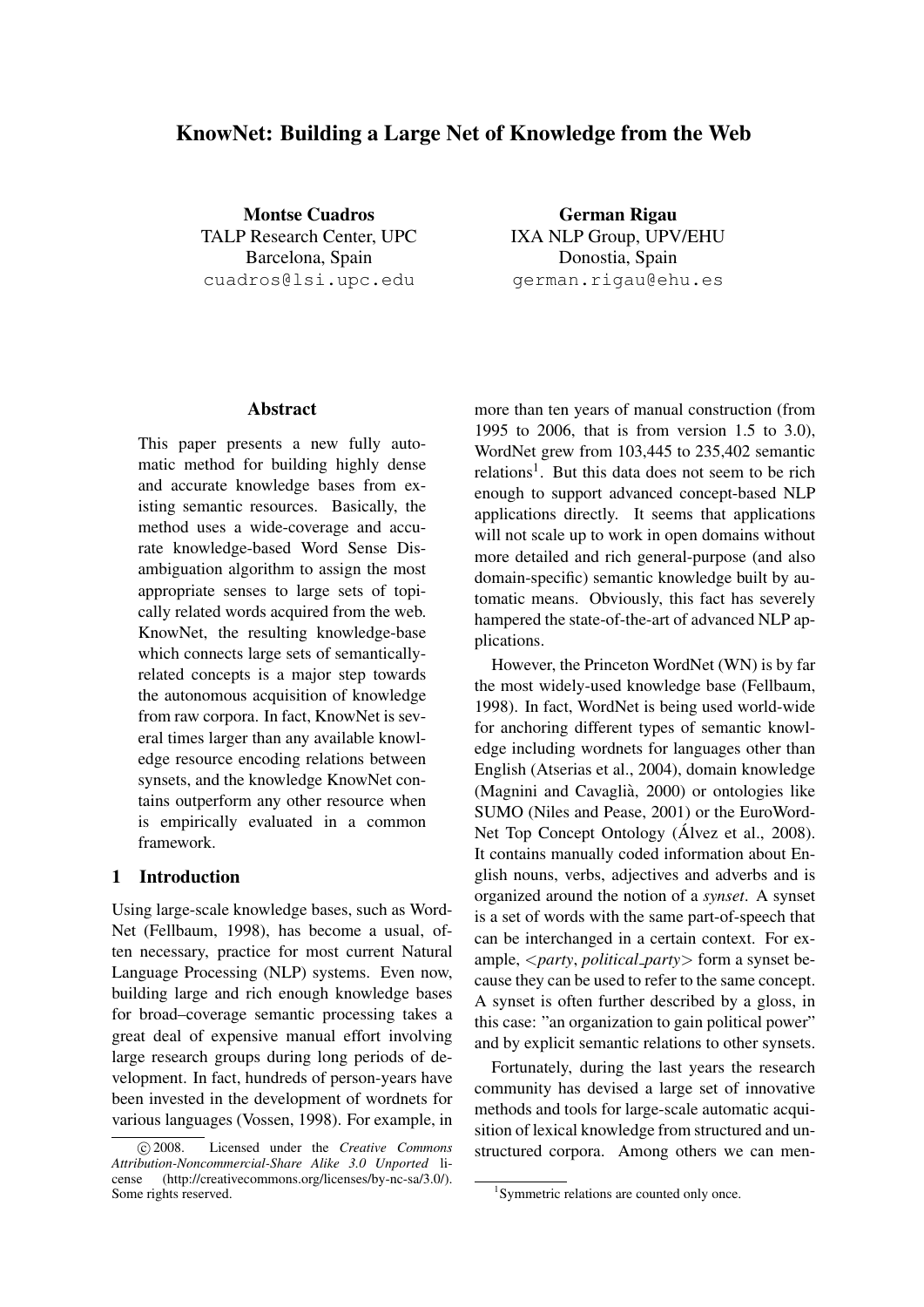# KnowNet: Building a Large Net of Knowledge from the Web

Montse Cuadros TALP Research Center, UPC Barcelona, Spain cuadros@lsi.upc.edu

German Rigau IXA NLP Group, UPV/EHU Donostia, Spain german.rigau@ehu.es

#### Abstract

This paper presents a new fully automatic method for building highly dense and accurate knowledge bases from existing semantic resources. Basically, the method uses a wide-coverage and accurate knowledge-based Word Sense Disambiguation algorithm to assign the most appropriate senses to large sets of topically related words acquired from the web. KnowNet, the resulting knowledge-base which connects large sets of semanticallyrelated concepts is a major step towards the autonomous acquisition of knowledge from raw corpora. In fact, KnowNet is several times larger than any available knowledge resource encoding relations between synsets, and the knowledge KnowNet contains outperform any other resource when is empirically evaluated in a common framework.

## 1 Introduction

Using large-scale knowledge bases, such as Word-Net (Fellbaum, 1998), has become a usual, often necessary, practice for most current Natural Language Processing (NLP) systems. Even now, building large and rich enough knowledge bases for broad–coverage semantic processing takes a great deal of expensive manual effort involving large research groups during long periods of development. In fact, hundreds of person-years have been invested in the development of wordnets for various languages (Vossen, 1998). For example, in more than ten years of manual construction (from 1995 to 2006, that is from version 1.5 to 3.0), WordNet grew from 103,445 to 235,402 semantic relations<sup>1</sup>. But this data does not seem to be rich enough to support advanced concept-based NLP applications directly. It seems that applications will not scale up to work in open domains without more detailed and rich general-purpose (and also domain-specific) semantic knowledge built by automatic means. Obviously, this fact has severely hampered the state-of-the-art of advanced NLP applications.

However, the Princeton WordNet (WN) is by far the most widely-used knowledge base (Fellbaum, 1998). In fact, WordNet is being used world-wide for anchoring different types of semantic knowledge including wordnets for languages other than English (Atserias et al., 2004), domain knowledge (Magnini and Cavaglià, 2000) or ontologies like SUMO (Niles and Pease, 2001) or the EuroWord-Net Top Concept Ontology (Álvez et al., 2008). It contains manually coded information about English nouns, verbs, adjectives and adverbs and is organized around the notion of a *synset*. A synset is a set of words with the same part-of-speech that can be interchanged in a certain context. For example, <*party*, *political party*> form a synset because they can be used to refer to the same concept. A synset is often further described by a gloss, in this case: "an organization to gain political power" and by explicit semantic relations to other synsets.

Fortunately, during the last years the research community has devised a large set of innovative methods and tools for large-scale automatic acquisition of lexical knowledge from structured and unstructured corpora. Among others we can men-

c 2008. Licensed under the *Creative Commons Attribution-Noncommercial-Share Alike 3.0 Unported* license (http://creativecommons.org/licenses/by-nc-sa/3.0/). Some rights reserved.

<sup>1</sup> Symmetric relations are counted only once.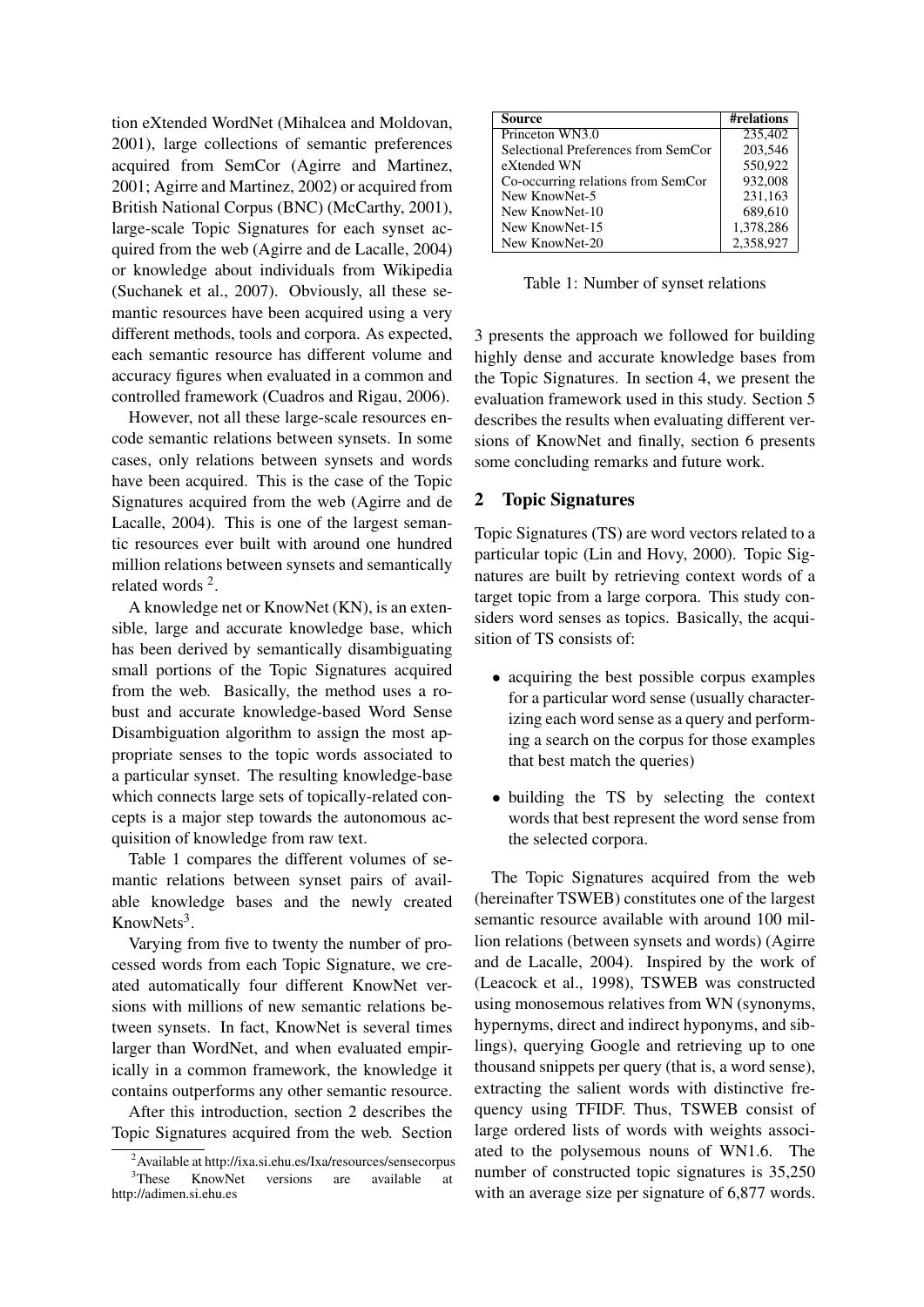tion eXtended WordNet (Mihalcea and Moldovan, 2001), large collections of semantic preferences acquired from SemCor (Agirre and Martinez, 2001; Agirre and Martinez, 2002) or acquired from British National Corpus (BNC) (McCarthy, 2001), large-scale Topic Signatures for each synset acquired from the web (Agirre and de Lacalle, 2004) or knowledge about individuals from Wikipedia (Suchanek et al., 2007). Obviously, all these semantic resources have been acquired using a very different methods, tools and corpora. As expected, each semantic resource has different volume and accuracy figures when evaluated in a common and controlled framework (Cuadros and Rigau, 2006).

However, not all these large-scale resources encode semantic relations between synsets. In some cases, only relations between synsets and words have been acquired. This is the case of the Topic Signatures acquired from the web (Agirre and de Lacalle, 2004). This is one of the largest semantic resources ever built with around one hundred million relations between synsets and semantically related words<sup>2</sup>.

A knowledge net or KnowNet (KN), is an extensible, large and accurate knowledge base, which has been derived by semantically disambiguating small portions of the Topic Signatures acquired from the web. Basically, the method uses a robust and accurate knowledge-based Word Sense Disambiguation algorithm to assign the most appropriate senses to the topic words associated to a particular synset. The resulting knowledge-base which connects large sets of topically-related concepts is a major step towards the autonomous acquisition of knowledge from raw text.

Table 1 compares the different volumes of semantic relations between synset pairs of available knowledge bases and the newly created KnowNets<sup>3</sup>.

Varying from five to twenty the number of processed words from each Topic Signature, we created automatically four different KnowNet versions with millions of new semantic relations between synsets. In fact, KnowNet is several times larger than WordNet, and when evaluated empirically in a common framework, the knowledge it contains outperforms any other semantic resource.

After this introduction, section 2 describes the Topic Signatures acquired from the web. Section

| Source                              | #relations |
|-------------------------------------|------------|
| Princeton WN3.0                     | 235,402    |
| Selectional Preferences from SemCor | 203,546    |
| eXtended WN                         | 550,922    |
| Co-occurring relations from SemCor  | 932,008    |
| New KnowNet-5                       | 231,163    |
| New KnowNet-10                      | 689,610    |
| New KnowNet-15                      | 1,378,286  |
| New KnowNet-20                      | 2,358,927  |

Table 1: Number of synset relations

3 presents the approach we followed for building highly dense and accurate knowledge bases from the Topic Signatures. In section 4, we present the evaluation framework used in this study. Section 5 describes the results when evaluating different versions of KnowNet and finally, section 6 presents some concluding remarks and future work.

# 2 Topic Signatures

Topic Signatures (TS) are word vectors related to a particular topic (Lin and Hovy, 2000). Topic Signatures are built by retrieving context words of a target topic from a large corpora. This study considers word senses as topics. Basically, the acquisition of TS consists of:

- acquiring the best possible corpus examples for a particular word sense (usually characterizing each word sense as a query and performing a search on the corpus for those examples that best match the queries)
- building the TS by selecting the context words that best represent the word sense from the selected corpora.

The Topic Signatures acquired from the web (hereinafter TSWEB) constitutes one of the largest semantic resource available with around 100 million relations (between synsets and words) (Agirre and de Lacalle, 2004). Inspired by the work of (Leacock et al., 1998), TSWEB was constructed using monosemous relatives from WN (synonyms, hypernyms, direct and indirect hyponyms, and siblings), querying Google and retrieving up to one thousand snippets per query (that is, a word sense), extracting the salient words with distinctive frequency using TFIDF. Thus, TSWEB consist of large ordered lists of words with weights associated to the polysemous nouns of WN1.6. The number of constructed topic signatures is 35,250 with an average size per signature of 6,877 words.

<sup>2</sup>Available at http://ixa.si.ehu.es/Ixa/resources/sensecorpus <sup>3</sup>These KnowNet versions are available at http://adimen.si.ehu.es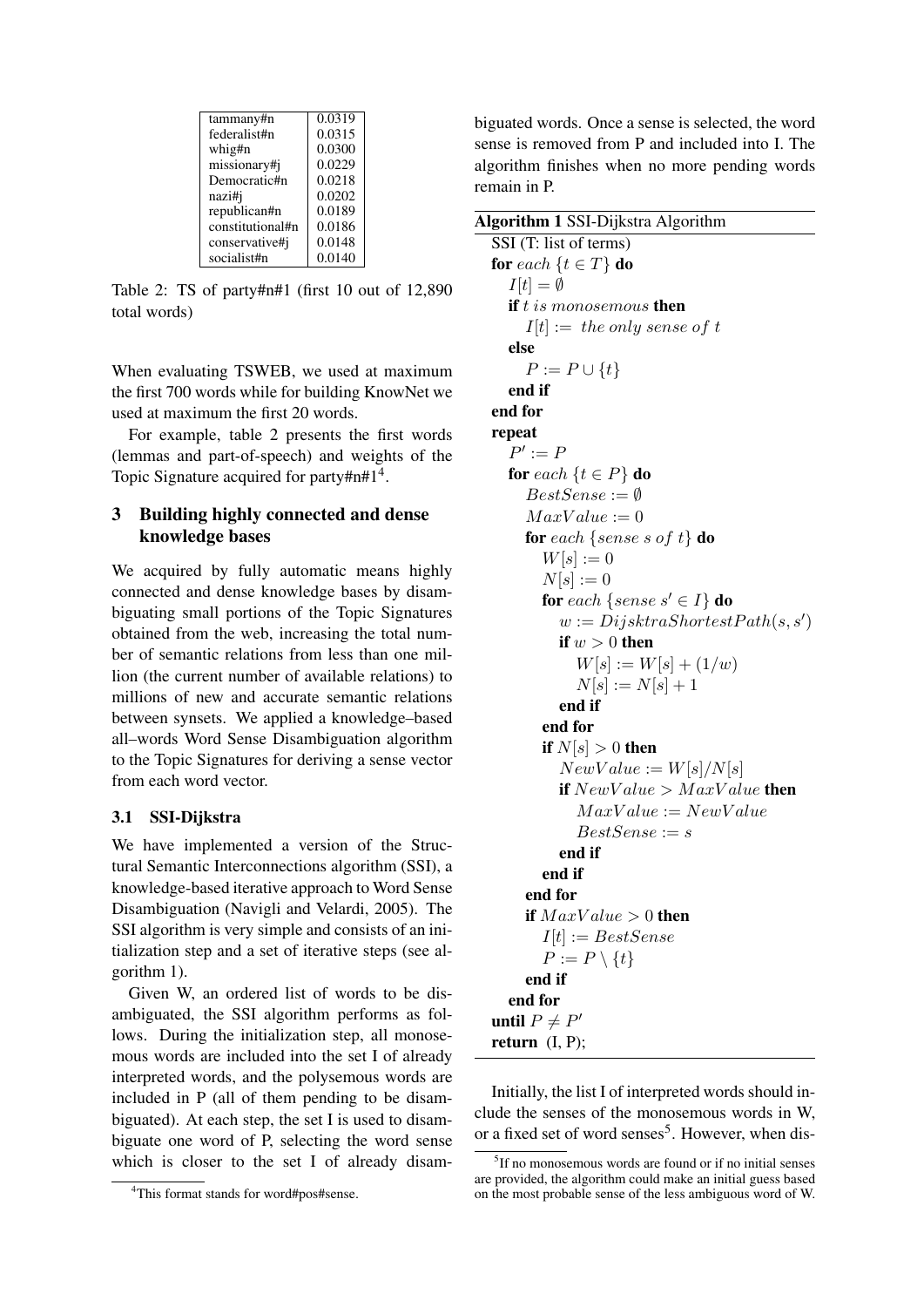| 0.0319 |
|--------|
| 0.0315 |
| 0.0300 |
| 0.0229 |
| 0.0218 |
| 0.0202 |
| 0.0189 |
| 0.0186 |
| 0.0148 |
| 0.0140 |
|        |

Table 2: TS of party#n#1 (first 10 out of 12,890 total words)

When evaluating TSWEB, we used at maximum the first 700 words while for building KnowNet we used at maximum the first 20 words.

For example, table 2 presents the first words (lemmas and part-of-speech) and weights of the Topic Signature acquired for party#n#1<sup>4</sup>.

## 3 Building highly connected and dense knowledge bases

We acquired by fully automatic means highly connected and dense knowledge bases by disambiguating small portions of the Topic Signatures obtained from the web, increasing the total number of semantic relations from less than one million (the current number of available relations) to millions of new and accurate semantic relations between synsets. We applied a knowledge–based all–words Word Sense Disambiguation algorithm to the Topic Signatures for deriving a sense vector from each word vector.

## 3.1 SSI-Dijkstra

We have implemented a version of the Structural Semantic Interconnections algorithm (SSI), a knowledge-based iterative approach to Word Sense Disambiguation (Navigli and Velardi, 2005). The SSI algorithm is very simple and consists of an initialization step and a set of iterative steps (see algorithm 1).

Given W, an ordered list of words to be disambiguated, the SSI algorithm performs as follows. During the initialization step, all monosemous words are included into the set I of already interpreted words, and the polysemous words are included in P (all of them pending to be disambiguated). At each step, the set I is used to disambiguate one word of P, selecting the word sense which is closer to the set I of already disambiguated words. Once a sense is selected, the word sense is removed from P and included into I. The algorithm finishes when no more pending words remain in P.

Algorithm 1 SSI-Dijkstra Algorithm

SSI (T: list of terms) for each  $\{t \in T\}$  do  $I[t] = \emptyset$ if  $t$  is monosemous then  $I[t] := the only sense of t$ else  $P := P \cup \{t\}$ end if end for repeat  $P' := F$ for each  $\{t \in P\}$  do  $BestSense := \emptyset$  $MaxValue := 0$ for each {sense s of t} do  $W[s] := 0$  $N[s] := 0$ for each {sense  $s' \in I$ } do  $w := DijkstraShortestPath(s, s')$ if  $w > 0$  then  $W[s] := W[s] + (1/w)$  $N[s] := N[s] + 1$ end if end for if  $N[s] > 0$  then  $NewValue := W[s]/N[s]$ if  $NewValue > MaxValue$  then  $MaxValue := NewValue$  $BestSense := s$ end if end if end for if  $MaxValue > 0$  then  $I[t] := Best Sense$  $P := P \setminus \{t\}$ end if end for until  $P \neq P'$ return  $(I, P)$ ;

Initially, the list I of interpreted words should include the senses of the monosemous words in W, or a fixed set of word senses<sup>5</sup>. However, when dis-

<sup>4</sup>This format stands for word#pos#sense.

<sup>5</sup> If no monosemous words are found or if no initial senses are provided, the algorithm could make an initial guess based on the most probable sense of the less ambiguous word of W.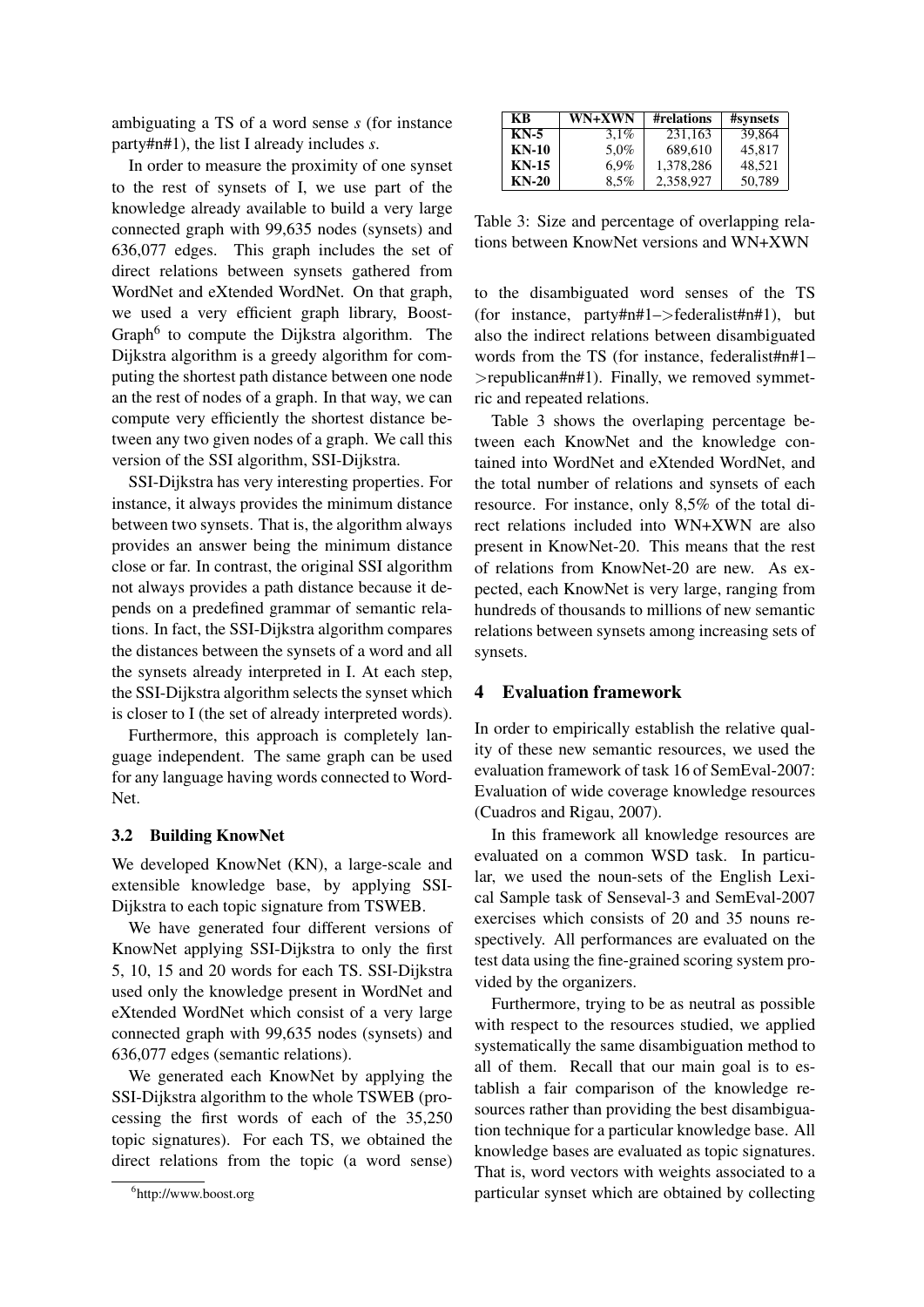ambiguating a TS of a word sense *s* (for instance party#n#1), the list I already includes *s*.

In order to measure the proximity of one synset to the rest of synsets of I, we use part of the knowledge already available to build a very large connected graph with 99,635 nodes (synsets) and 636,077 edges. This graph includes the set of direct relations between synsets gathered from WordNet and eXtended WordNet. On that graph, we used a very efficient graph library, Boost-Graph<sup>6</sup> to compute the Dijkstra algorithm. The Dijkstra algorithm is a greedy algorithm for computing the shortest path distance between one node an the rest of nodes of a graph. In that way, we can compute very efficiently the shortest distance between any two given nodes of a graph. We call this version of the SSI algorithm, SSI-Dijkstra.

SSI-Dijkstra has very interesting properties. For instance, it always provides the minimum distance between two synsets. That is, the algorithm always provides an answer being the minimum distance close or far. In contrast, the original SSI algorithm not always provides a path distance because it depends on a predefined grammar of semantic relations. In fact, the SSI-Dijkstra algorithm compares the distances between the synsets of a word and all the synsets already interpreted in I. At each step, the SSI-Dijkstra algorithm selects the synset which is closer to I (the set of already interpreted words).

Furthermore, this approach is completely language independent. The same graph can be used for any language having words connected to Word-Net.

#### 3.2 Building KnowNet

We developed KnowNet (KN), a large-scale and extensible knowledge base, by applying SSI-Dijkstra to each topic signature from TSWEB.

We have generated four different versions of KnowNet applying SSI-Dijkstra to only the first 5, 10, 15 and 20 words for each TS. SSI-Dijkstra used only the knowledge present in WordNet and eXtended WordNet which consist of a very large connected graph with 99,635 nodes (synsets) and 636,077 edges (semantic relations).

We generated each KnowNet by applying the SSI-Dijkstra algorithm to the whole TSWEB (processing the first words of each of the 35,250 topic signatures). For each TS, we obtained the direct relations from the topic (a word sense)

| KВ      | <b>WN+XWN</b> | #relations | #synsets |
|---------|---------------|------------|----------|
| KN-5    | $3.1\%$       | 231.163    | 39.864   |
| $KN-10$ | 5.0%          | 689,610    | 45.817   |
| $KN-15$ | $6.9\%$       | 1,378,286  | 48.521   |
| $KN-20$ | $8.5\%$       | 2.358.927  | 50,789   |

Table 3: Size and percentage of overlapping relations between KnowNet versions and WN+XWN

to the disambiguated word senses of the TS (for instance, party#n#1–>federalist#n#1), but also the indirect relations between disambiguated words from the TS (for instance, federalist#n#1– >republican#n#1). Finally, we removed symmetric and repeated relations.

Table 3 shows the overlaping percentage between each KnowNet and the knowledge contained into WordNet and eXtended WordNet, and the total number of relations and synsets of each resource. For instance, only 8,5% of the total direct relations included into WN+XWN are also present in KnowNet-20. This means that the rest of relations from KnowNet-20 are new. As expected, each KnowNet is very large, ranging from hundreds of thousands to millions of new semantic relations between synsets among increasing sets of synsets.

### 4 Evaluation framework

In order to empirically establish the relative quality of these new semantic resources, we used the evaluation framework of task 16 of SemEval-2007: Evaluation of wide coverage knowledge resources (Cuadros and Rigau, 2007).

In this framework all knowledge resources are evaluated on a common WSD task. In particular, we used the noun-sets of the English Lexical Sample task of Senseval-3 and SemEval-2007 exercises which consists of 20 and 35 nouns respectively. All performances are evaluated on the test data using the fine-grained scoring system provided by the organizers.

Furthermore, trying to be as neutral as possible with respect to the resources studied, we applied systematically the same disambiguation method to all of them. Recall that our main goal is to establish a fair comparison of the knowledge resources rather than providing the best disambiguation technique for a particular knowledge base. All knowledge bases are evaluated as topic signatures. That is, word vectors with weights associated to a particular synset which are obtained by collecting

<sup>6</sup> http://www.boost.org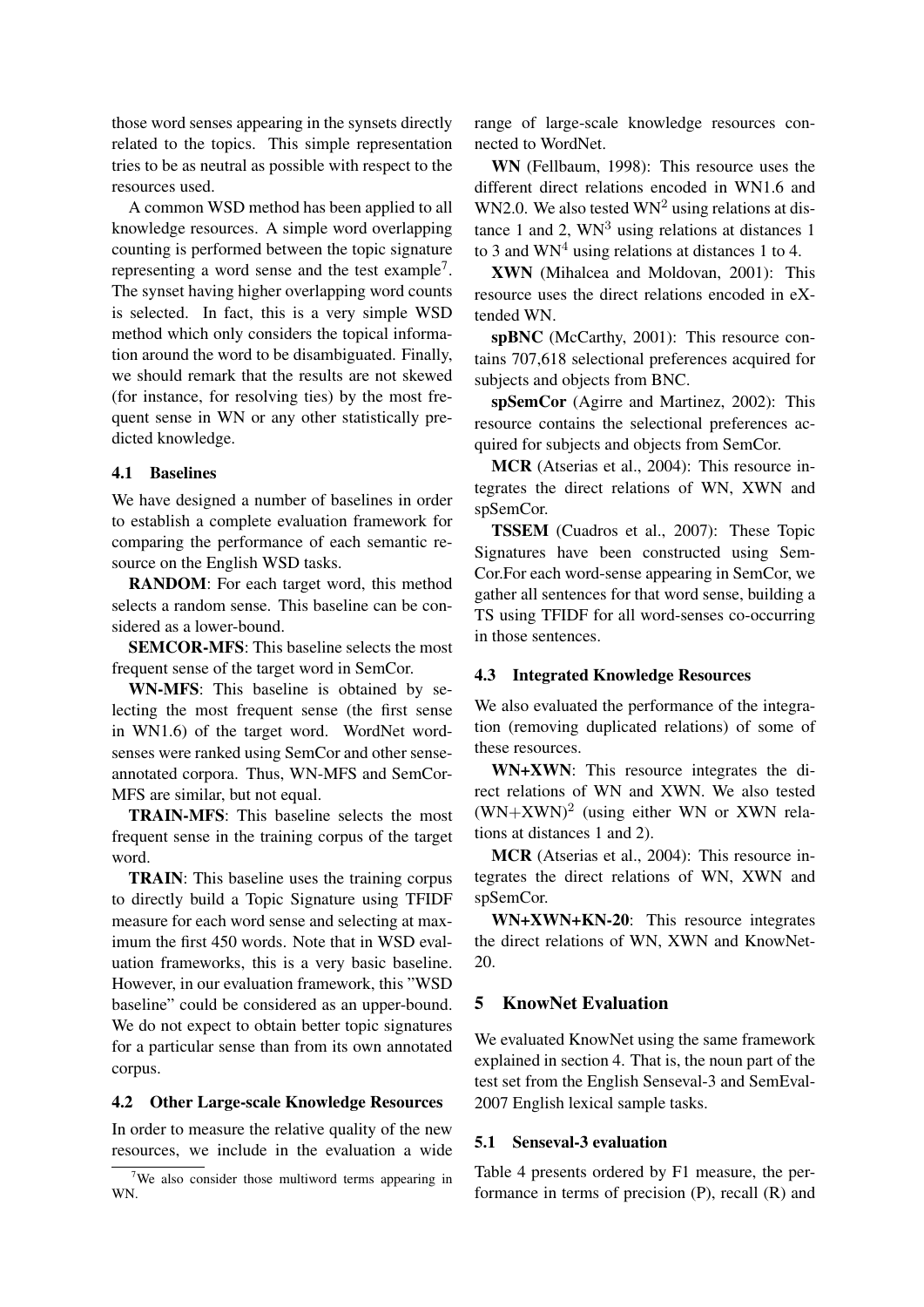those word senses appearing in the synsets directly related to the topics. This simple representation tries to be as neutral as possible with respect to the resources used.

A common WSD method has been applied to all knowledge resources. A simple word overlapping counting is performed between the topic signature representing a word sense and the test example<sup>7</sup>. The synset having higher overlapping word counts is selected. In fact, this is a very simple WSD method which only considers the topical information around the word to be disambiguated. Finally, we should remark that the results are not skewed (for instance, for resolving ties) by the most frequent sense in WN or any other statistically predicted knowledge.

### 4.1 Baselines

We have designed a number of baselines in order to establish a complete evaluation framework for comparing the performance of each semantic resource on the English WSD tasks.

RANDOM: For each target word, this method selects a random sense. This baseline can be considered as a lower-bound.

SEMCOR-MFS: This baseline selects the most frequent sense of the target word in SemCor.

WN-MFS: This baseline is obtained by selecting the most frequent sense (the first sense in WN1.6) of the target word. WordNet wordsenses were ranked using SemCor and other senseannotated corpora. Thus, WN-MFS and SemCor-MFS are similar, but not equal.

TRAIN-MFS: This baseline selects the most frequent sense in the training corpus of the target word.

TRAIN: This baseline uses the training corpus to directly build a Topic Signature using TFIDF measure for each word sense and selecting at maximum the first 450 words. Note that in WSD evaluation frameworks, this is a very basic baseline. However, in our evaluation framework, this "WSD baseline" could be considered as an upper-bound. We do not expect to obtain better topic signatures for a particular sense than from its own annotated corpus.

#### 4.2 Other Large-scale Knowledge Resources

In order to measure the relative quality of the new resources, we include in the evaluation a wide range of large-scale knowledge resources connected to WordNet.

WN (Fellbaum, 1998): This resource uses the different direct relations encoded in WN1.6 and WN2.0. We also tested  $WN^2$  using relations at distance 1 and 2,  $WN<sup>3</sup>$  using relations at distances 1 to 3 and  $WN<sup>4</sup>$  using relations at distances 1 to 4.

XWN (Mihalcea and Moldovan, 2001): This resource uses the direct relations encoded in eXtended WN.

spBNC (McCarthy, 2001): This resource contains 707,618 selectional preferences acquired for subjects and objects from BNC.

spSemCor (Agirre and Martinez, 2002): This resource contains the selectional preferences acquired for subjects and objects from SemCor.

MCR (Atserias et al., 2004): This resource integrates the direct relations of WN, XWN and spSemCor.

TSSEM (Cuadros et al., 2007): These Topic Signatures have been constructed using Sem-Cor.For each word-sense appearing in SemCor, we gather all sentences for that word sense, building a TS using TFIDF for all word-senses co-occurring in those sentences.

### 4.3 Integrated Knowledge Resources

We also evaluated the performance of the integration (removing duplicated relations) of some of these resources.

WN+XWN: This resource integrates the direct relations of WN and XWN. We also tested  $(WN+XWN)^2$  (using either WN or XWN relations at distances 1 and 2).

MCR (Atserias et al., 2004): This resource integrates the direct relations of WN, XWN and spSemCor.

WN+XWN+KN-20: This resource integrates the direct relations of WN, XWN and KnowNet-20.

## 5 KnowNet Evaluation

We evaluated KnowNet using the same framework explained in section 4. That is, the noun part of the test set from the English Senseval-3 and SemEval-2007 English lexical sample tasks.

### 5.1 Senseval-3 evaluation

Table 4 presents ordered by F1 measure, the performance in terms of precision (P), recall (R) and

<sup>&</sup>lt;sup>7</sup>We also consider those multiword terms appearing in WN.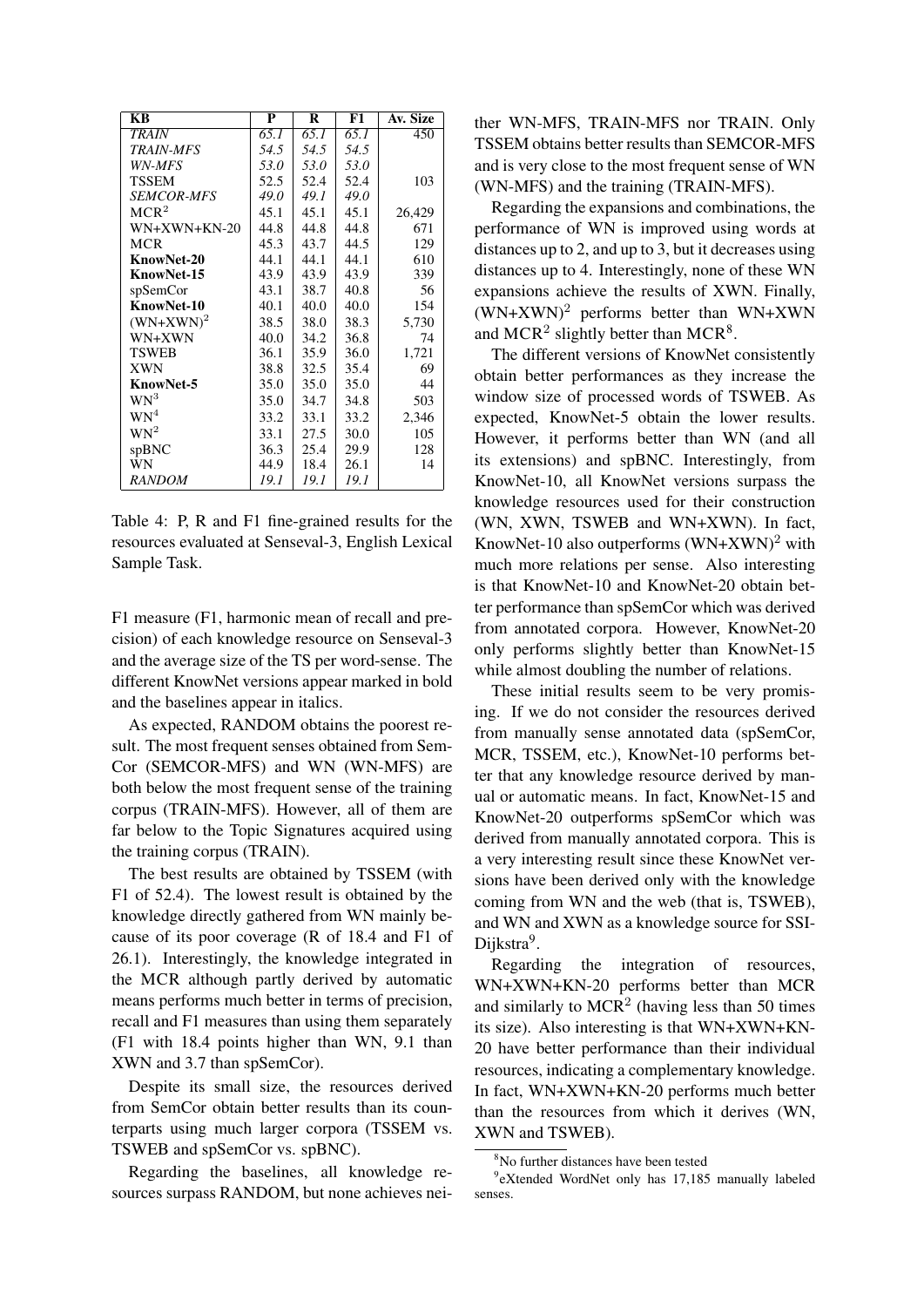| KB                | P    | R    | F1   | Av. Size |
|-------------------|------|------|------|----------|
| <b>TRAIN</b>      | 65.1 | 65.1 | 65.1 | 450      |
| <b>TRAIN-MFS</b>  | 54.5 | 54.5 | 54.5 |          |
| WN-MFS            | 53.0 | 53.0 | 53.0 |          |
| <b>TSSEM</b>      | 52.5 | 52.4 | 52.4 | 103      |
| <b>SEMCOR-MFS</b> | 49.0 | 49.1 | 49.0 |          |
| MCR <sup>2</sup>  | 45.1 | 45.1 | 45.1 | 26,429   |
| WN+XWN+KN-20      | 44.8 | 44.8 | 44.8 | 671      |
| MCR               | 45.3 | 43.7 | 44.5 | 129      |
| KnowNet-20        | 44.1 | 44.1 | 44.1 | 610      |
| KnowNet-15        | 43.9 | 43.9 | 43.9 | 339      |
| spSemCor          | 43.1 | 38.7 | 40.8 | 56       |
| KnowNet-10        | 40.1 | 40.0 | 40.0 | 154      |
| $(WN+XWN)^2$      | 38.5 | 38.0 | 38.3 | 5,730    |
| WN+XWN            | 40.0 | 34.2 | 36.8 | 74       |
| <b>TSWEB</b>      | 36.1 | 35.9 | 36.0 | 1,721    |
| <b>XWN</b>        | 38.8 | 32.5 | 35.4 | 69       |
| <b>KnowNet-5</b>  | 35.0 | 35.0 | 35.0 | 44       |
| WN <sup>3</sup>   | 35.0 | 34.7 | 34.8 | 503      |
| WN <sup>4</sup>   | 33.2 | 33.1 | 33.2 | 2,346    |
| $WN^2$            | 33.1 | 27.5 | 30.0 | 105      |
| spBNC             | 36.3 | 25.4 | 29.9 | 128      |
| WN                | 44.9 | 18.4 | 26.1 | 14       |
| <b>RANDOM</b>     | 19.1 | 19.1 | 19.1 |          |

Table 4: P, R and F1 fine-grained results for the resources evaluated at Senseval-3, English Lexical Sample Task.

F1 measure (F1, harmonic mean of recall and precision) of each knowledge resource on Senseval-3 and the average size of the TS per word-sense. The different KnowNet versions appear marked in bold and the baselines appear in italics.

As expected, RANDOM obtains the poorest result. The most frequent senses obtained from Sem-Cor (SEMCOR-MFS) and WN (WN-MFS) are both below the most frequent sense of the training corpus (TRAIN-MFS). However, all of them are far below to the Topic Signatures acquired using the training corpus (TRAIN).

The best results are obtained by TSSEM (with F1 of 52.4). The lowest result is obtained by the knowledge directly gathered from WN mainly because of its poor coverage (R of 18.4 and F1 of 26.1). Interestingly, the knowledge integrated in the MCR although partly derived by automatic means performs much better in terms of precision, recall and F1 measures than using them separately (F1 with 18.4 points higher than WN, 9.1 than XWN and 3.7 than spSemCor).

Despite its small size, the resources derived from SemCor obtain better results than its counterparts using much larger corpora (TSSEM vs. TSWEB and spSemCor vs. spBNC).

Regarding the baselines, all knowledge resources surpass RANDOM, but none achieves neither WN-MFS, TRAIN-MFS nor TRAIN. Only TSSEM obtains better results than SEMCOR-MFS and is very close to the most frequent sense of WN (WN-MFS) and the training (TRAIN-MFS).

Regarding the expansions and combinations, the performance of WN is improved using words at distances up to 2, and up to 3, but it decreases using distances up to 4. Interestingly, none of these WN expansions achieve the results of XWN. Finally,  $(WN+XWN)^2$  performs better than WN+XWN and MCR<sup>2</sup> slightly better than MCR<sup>8</sup>.

The different versions of KnowNet consistently obtain better performances as they increase the window size of processed words of TSWEB. As expected, KnowNet-5 obtain the lower results. However, it performs better than WN (and all its extensions) and spBNC. Interestingly, from KnowNet-10, all KnowNet versions surpass the knowledge resources used for their construction (WN, XWN, TSWEB and WN+XWN). In fact, KnowNet-10 also outperforms  $(WN+XWN)^2$  with much more relations per sense. Also interesting is that KnowNet-10 and KnowNet-20 obtain better performance than spSemCor which was derived from annotated corpora. However, KnowNet-20 only performs slightly better than KnowNet-15 while almost doubling the number of relations.

These initial results seem to be very promising. If we do not consider the resources derived from manually sense annotated data (spSemCor, MCR, TSSEM, etc.), KnowNet-10 performs better that any knowledge resource derived by manual or automatic means. In fact, KnowNet-15 and KnowNet-20 outperforms spSemCor which was derived from manually annotated corpora. This is a very interesting result since these KnowNet versions have been derived only with the knowledge coming from WN and the web (that is, TSWEB), and WN and XWN as a knowledge source for SSI-Dijkstra<sup>9</sup>.

Regarding the integration of resources, WN+XWN+KN-20 performs better than MCR and similarly to  $MCR<sup>2</sup>$  (having less than 50 times its size). Also interesting is that WN+XWN+KN-20 have better performance than their individual resources, indicating a complementary knowledge. In fact, WN+XWN+KN-20 performs much better than the resources from which it derives (WN, XWN and TSWEB).

<sup>8</sup>No further distances have been tested

<sup>9</sup> eXtended WordNet only has 17,185 manually labeled senses.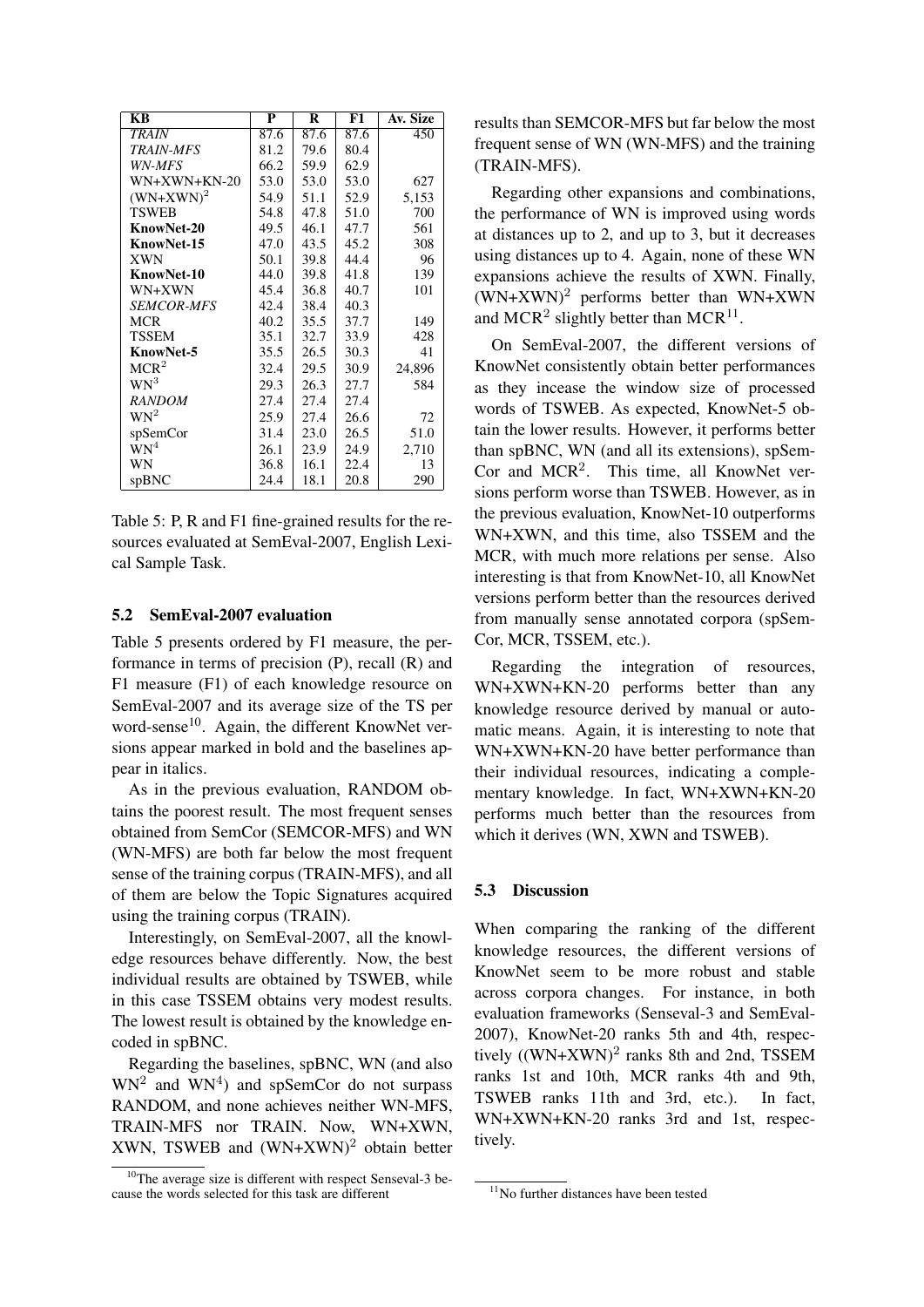| KB                | P    | R    | F1                 | Av. Size |
|-------------------|------|------|--------------------|----------|
| <b>TRAIN</b>      | 87.6 | 87.6 | $\overline{8}$ 7.6 | 450      |
| <b>TRAIN-MFS</b>  | 81.2 | 79.6 | 80.4               |          |
| WN-MFS            | 66.2 | 59.9 | 62.9               |          |
| $WN+XWN+KN-20$    | 53.0 | 53.0 | 53.0               | 627      |
| $(WN+XWN)^2$      | 54.9 | 51.1 | 52.9               | 5,153    |
| <b>TSWEB</b>      | 54.8 | 47.8 | 51.0               | 700      |
| KnowNet-20        | 49.5 | 46.1 | 47.7               | 561      |
| KnowNet-15        | 47.0 | 43.5 | 45.2               | 308      |
| <b>XWN</b>        | 50.1 | 39.8 | 44.4               | 96       |
| KnowNet-10        | 44.0 | 39.8 | 41.8               | 139      |
| WN+XWN            | 45.4 | 36.8 | 40.7               | 101      |
| <b>SEMCOR-MFS</b> | 42.4 | 38.4 | 40.3               |          |
| MCR               | 40.2 | 35.5 | 37.7               | 149      |
| <b>TSSEM</b>      | 35.1 | 32.7 | 33.9               | 428      |
| <b>KnowNet-5</b>  | 35.5 | 26.5 | 30.3               | 41       |
| MCR <sup>2</sup>  | 32.4 | 29.5 | 30.9               | 24,896   |
| WN <sup>3</sup>   | 29.3 | 26.3 | 27.7               | 584      |
| <b>RANDOM</b>     | 27.4 | 27.4 | 27.4               |          |
| $WN^2$            | 25.9 | 27.4 | 26.6               | 72       |
| spSemCor          | 31.4 | 23.0 | 26.5               | 51.0     |
| WN <sup>4</sup>   | 26.1 | 23.9 | 24.9               | 2,710    |
| WN                | 36.8 | 16.1 | 22.4               | 13       |
| spBNC             | 24.4 | 18.1 | 20.8               | 290      |

Table 5: P, R and F1 fine-grained results for the resources evaluated at SemEval-2007, English Lexical Sample Task.

### 5.2 SemEval-2007 evaluation

Table 5 presents ordered by F1 measure, the performance in terms of precision (P), recall (R) and F1 measure (F1) of each knowledge resource on SemEval-2007 and its average size of the TS per word-sense<sup>10</sup>. Again, the different KnowNet versions appear marked in bold and the baselines appear in italics.

As in the previous evaluation, RANDOM obtains the poorest result. The most frequent senses obtained from SemCor (SEMCOR-MFS) and WN (WN-MFS) are both far below the most frequent sense of the training corpus (TRAIN-MFS), and all of them are below the Topic Signatures acquired using the training corpus (TRAIN).

Interestingly, on SemEval-2007, all the knowledge resources behave differently. Now, the best individual results are obtained by TSWEB, while in this case TSSEM obtains very modest results. The lowest result is obtained by the knowledge encoded in spBNC.

Regarding the baselines, spBNC, WN (and also  $WN<sup>2</sup>$  and  $WN<sup>4</sup>$ ) and spSemCor do not surpass RANDOM, and none achieves neither WN-MFS, TRAIN-MFS nor TRAIN. Now, WN+XWN, XWN, TSWEB and  $(WN+XWN)^2$  obtain better results than SEMCOR-MFS but far below the most frequent sense of WN (WN-MFS) and the training (TRAIN-MFS).

Regarding other expansions and combinations, the performance of WN is improved using words at distances up to 2, and up to 3, but it decreases using distances up to 4. Again, none of these WN expansions achieve the results of XWN. Finally,  $(WN+XWN)^2$  performs better than WN+XWN and  $MCR<sup>2</sup>$  slightly better than  $MCR<sup>11</sup>$ .

On SemEval-2007, the different versions of KnowNet consistently obtain better performances as they incease the window size of processed words of TSWEB. As expected, KnowNet-5 obtain the lower results. However, it performs better than spBNC, WN (and all its extensions), spSem-Cor and MCR<sup>2</sup>. This time, all KnowNet versions perform worse than TSWEB. However, as in the previous evaluation, KnowNet-10 outperforms WN+XWN, and this time, also TSSEM and the MCR, with much more relations per sense. Also interesting is that from KnowNet-10, all KnowNet versions perform better than the resources derived from manually sense annotated corpora (spSem-Cor, MCR, TSSEM, etc.).

Regarding the integration of resources, WN+XWN+KN-20 performs better than any knowledge resource derived by manual or automatic means. Again, it is interesting to note that WN+XWN+KN-20 have better performance than their individual resources, indicating a complementary knowledge. In fact, WN+XWN+KN-20 performs much better than the resources from which it derives (WN, XWN and TSWEB).

### 5.3 Discussion

When comparing the ranking of the different knowledge resources, the different versions of KnowNet seem to be more robust and stable across corpora changes. For instance, in both evaluation frameworks (Senseval-3 and SemEval-2007), KnowNet-20 ranks 5th and 4th, respectively  $((WN+XWN)^2$  ranks 8th and 2nd, TSSEM ranks 1st and 10th, MCR ranks 4th and 9th, TSWEB ranks 11th and 3rd, etc.). In fact, WN+XWN+KN-20 ranks 3rd and 1st, respectively.

 $10$ The average size is different with respect Senseval-3 because the words selected for this task are different

<sup>&</sup>lt;sup>11</sup>No further distances have been tested